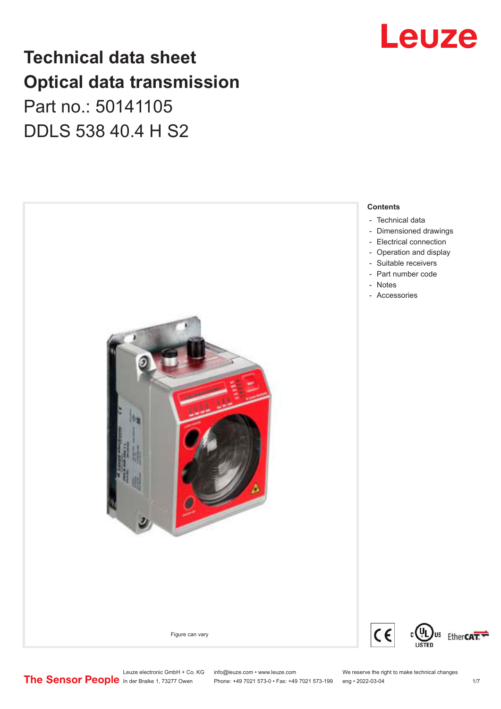## **Technical data sheet Optical data transmission** Part no.: 50141105

DDLS 538 40.4 H S2





Leuze electronic GmbH + Co. KG info@leuze.com • www.leuze.com We reserve the right to make technical changes<br>
The Sensor People in der Braike 1, 73277 Owen Phone: +49 7021 573-0 • Fax: +49 7021 573-199 eng • 2022-03-04

Phone: +49 7021 573-0 • Fax: +49 7021 573-199 eng • 2022-03-04 1 /7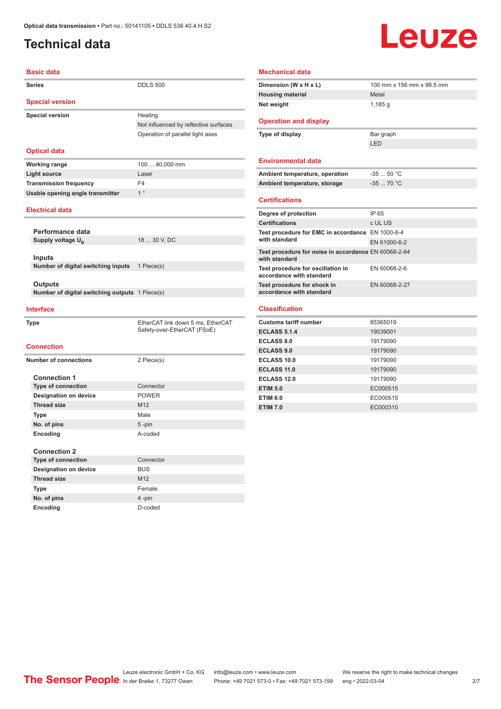## <span id="page-1-0"></span>**Technical data**

# Leuze

| <b>Basic data</b>                               |                                       |  |  |  |
|-------------------------------------------------|---------------------------------------|--|--|--|
| <b>Series</b>                                   | <b>DDLS 500</b>                       |  |  |  |
| <b>Special version</b>                          |                                       |  |  |  |
| <b>Special version</b>                          | Heating                               |  |  |  |
|                                                 | Not influenced by reflective surfaces |  |  |  |
|                                                 | Operation of parallel light axes      |  |  |  |
|                                                 |                                       |  |  |  |
| <b>Optical data</b>                             |                                       |  |  |  |
| <b>Working range</b>                            | 100  40,000 mm                        |  |  |  |
| <b>Light source</b>                             | Laser                                 |  |  |  |
| <b>Transmission frequency</b>                   | F4                                    |  |  |  |
| Usable opening angle transmitter                | 1 <sup>°</sup>                        |  |  |  |
|                                                 |                                       |  |  |  |
| <b>Electrical data</b>                          |                                       |  |  |  |
|                                                 |                                       |  |  |  |
| Performance data                                |                                       |  |  |  |
| Supply voltage U <sub>R</sub>                   | 18  30 V, DC                          |  |  |  |
| <b>Inputs</b>                                   |                                       |  |  |  |
| Number of digital switching inputs              | 1 Piece(s)                            |  |  |  |
|                                                 |                                       |  |  |  |
| Outputs                                         |                                       |  |  |  |
| Number of digital switching outputs 1 Piece(s)  |                                       |  |  |  |
|                                                 |                                       |  |  |  |
| <b>Interface</b>                                |                                       |  |  |  |
| <b>Type</b>                                     | EtherCAT link down 5 ms, EtherCAT     |  |  |  |
|                                                 | Safety-over-EtherCAT (FSoE)           |  |  |  |
| <b>Connection</b>                               |                                       |  |  |  |
| <b>Number of connections</b>                    | 2 Piece(s)                            |  |  |  |
|                                                 |                                       |  |  |  |
| <b>Connection 1</b>                             |                                       |  |  |  |
| <b>Type of connection</b>                       | Connector                             |  |  |  |
| <b>Designation on device</b>                    | <b>POWER</b>                          |  |  |  |
| <b>Thread size</b>                              | M12                                   |  |  |  |
| Type                                            | Male                                  |  |  |  |
| No. of pins                                     | $5$ -pin                              |  |  |  |
| Encoding                                        | A-coded                               |  |  |  |
|                                                 |                                       |  |  |  |
| <b>Connection 2</b>                             |                                       |  |  |  |
| <b>Type of connection</b><br>Baatanastan ang la | Connector<br>DU IO                    |  |  |  |

| <b>Connection 2</b>          |            |
|------------------------------|------------|
| <b>Type of connection</b>    | Connector  |
| <b>Designation on device</b> | <b>BUS</b> |
| <b>Thread size</b>           | M12        |
| Type                         | Female     |
| No. of pins                  | $4 - pin$  |
| Encoding                     | D-coded    |
|                              |            |

#### **Mechanical data**

| Dimension (W x H x L)                                                 | 100 mm x 156 mm x 99.5 mm |
|-----------------------------------------------------------------------|---------------------------|
| <b>Housing material</b>                                               | Metal                     |
| Net weight                                                            | 1,185q                    |
|                                                                       |                           |
| <b>Operation and display</b>                                          |                           |
| Type of display                                                       | Bar graph                 |
|                                                                       | I FD                      |
|                                                                       |                           |
| <b>Environmental data</b>                                             |                           |
| Ambient temperature, operation                                        | $-3550 °C$                |
| Ambient temperature, storage                                          | $-3570 °C$                |
|                                                                       |                           |
| <b>Certifications</b>                                                 |                           |
| Degree of protection                                                  | IP 65                     |
| <b>Certifications</b>                                                 | c UL US                   |
| Test procedure for EMC in accordance EN 1000-6-4                      |                           |
| with standard                                                         | EN 61000-6-2              |
| Test procedure for noise in accordance EN 60068-2-64<br>with standard |                           |
| Test procedure for oscillation in<br>accordance with standard         | EN 60068-2-6              |
| Test procedure for shock in<br>accordance with standard               | EN 60068-2-27             |
| <b>Classification</b>                                                 |                           |
| <b>Customs tariff number</b>                                          | 85365019                  |
| <b>ECLASS 5.1.4</b>                                                   | 19039001                  |
| <b>ECLASS 8.0</b>                                                     | 19179090                  |

| <b>ECLASS 5.1.4</b> | 19039001 |
|---------------------|----------|
| <b>ECLASS 8.0</b>   | 19179090 |
| <b>ECLASS 9.0</b>   | 19179090 |
| <b>ECLASS 10.0</b>  | 19179090 |
| <b>ECLASS 11.0</b>  | 19179090 |
| <b>ECLASS 12.0</b>  | 19179090 |
| <b>ETIM 5.0</b>     | EC000515 |
| <b>ETIM 6.0</b>     | EC000515 |
| <b>ETIM 7.0</b>     | EC000310 |
|                     |          |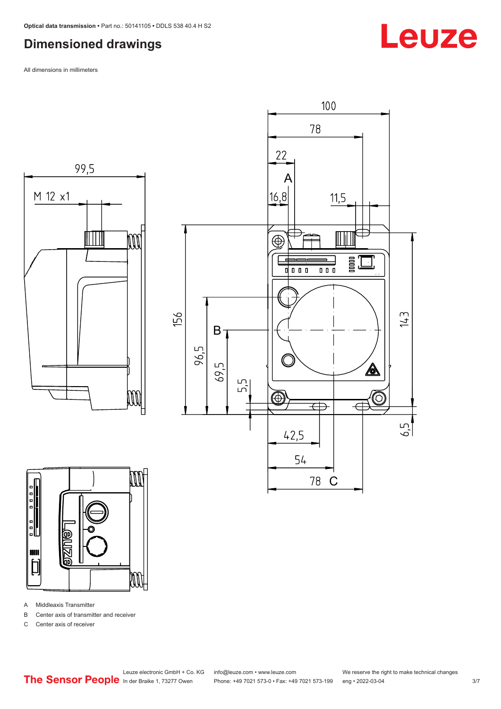### <span id="page-2-0"></span>**Dimensioned drawings**

All dimensions in millimeters







- A Middleaxis Transmitter
- B Center axis of transmitter and receiver
- C Center axis of receiver

Leuze

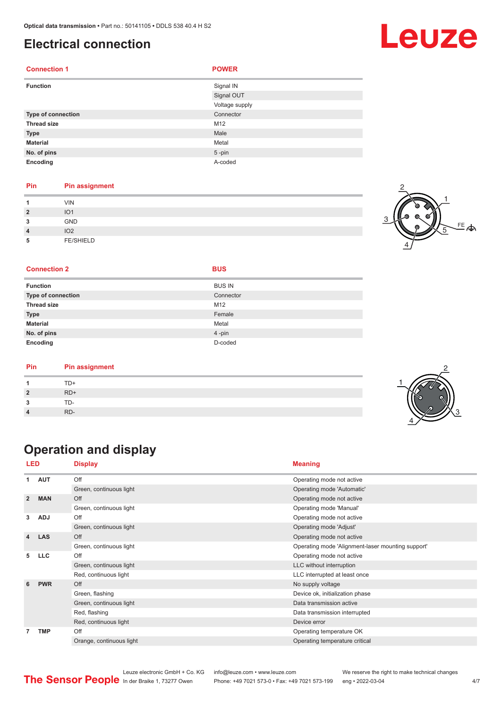### <span id="page-3-0"></span>**Electrical connection**

| <b>Connection 1</b> | <b>POWER</b>   |
|---------------------|----------------|
| <b>Function</b>     | Signal IN      |
|                     | Signal OUT     |
|                     | Voltage supply |
| Type of connection  | Connector      |
| <b>Thread size</b>  | M12            |
| <b>Type</b>         | Male           |
| <b>Material</b>     | Metal          |
| No. of pins         | $5$ -pin       |
| Encoding            | A-coded        |

#### **Pin Pin assignment**

| и              | <b>VIN</b>       |  |
|----------------|------------------|--|
| $\overline{2}$ | IO <sub>1</sub>  |  |
| 3              | GND              |  |
| $\overline{4}$ | IO <sub>2</sub>  |  |
| 5              | <b>FE/SHIELD</b> |  |



2

3

4

#### **Connection 2 BUS**

| <b>Function</b>           | <b>BUS IN</b> |
|---------------------------|---------------|
| <b>Type of connection</b> | Connector     |
| <b>Thread size</b>        | M12           |
| <b>Type</b>               | Female        |
| <b>Material</b>           | Metal         |
| No. of pins               | 4-pin         |
| Encoding                  | D-coded       |

| TD+<br>$RD+$<br>TD-<br>RD- |
|----------------------------|
|                            |
|                            |
|                            |
|                            |

## **Operation and display**

| LED            |            | <b>Display</b>           | <b>Meaning</b>                                    |  |
|----------------|------------|--------------------------|---------------------------------------------------|--|
| 1              | <b>AUT</b> | Off                      | Operating mode not active                         |  |
|                |            | Green, continuous light  | Operating mode 'Automatic'                        |  |
| $\overline{2}$ | <b>MAN</b> | Off                      | Operating mode not active                         |  |
|                |            | Green, continuous light  | Operating mode 'Manual'                           |  |
| 3              | <b>ADJ</b> | Off                      | Operating mode not active                         |  |
|                |            | Green, continuous light  | Operating mode 'Adjust'                           |  |
| 4              | <b>LAS</b> | Off                      | Operating mode not active                         |  |
|                |            | Green, continuous light  | Operating mode 'Alignment-laser mounting support' |  |
| 5              | <b>LLC</b> | Off                      | Operating mode not active                         |  |
|                |            | Green, continuous light  | LLC without interruption                          |  |
|                |            | Red, continuous light    | LLC interrupted at least once                     |  |
| 6              | <b>PWR</b> | Off                      | No supply voltage                                 |  |
|                |            | Green, flashing          | Device ok, initialization phase                   |  |
|                |            | Green, continuous light  | Data transmission active                          |  |
|                |            | Red, flashing            | Data transmission interrupted                     |  |
|                |            | Red, continuous light    | Device error                                      |  |
| 7              | <b>TMP</b> | Off                      | Operating temperature OK                          |  |
|                |            | Orange, continuous light | Operating temperature critical                    |  |

Leuze electronic GmbH + Co. KG info@leuze.com • www.leuze.com We reserve the right to make technical changes In der Braike 1, 73277 Owen Phone: +49 7021 573-0 • Fax: +49 7021 573-199 eng • 2022-03-04 **4/7**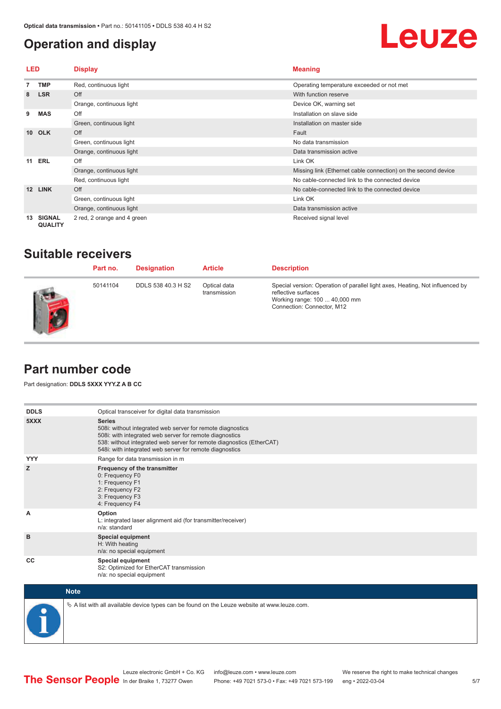### <span id="page-4-0"></span>**Operation and display**

## Leuze

| LED             |                                 | <b>Display</b>              | <b>Meaning</b>                                                |  |
|-----------------|---------------------------------|-----------------------------|---------------------------------------------------------------|--|
|                 | <b>TMP</b>                      | Red, continuous light       | Operating temperature exceeded or not met                     |  |
| 8               | <b>LSR</b>                      | Off                         | With function reserve                                         |  |
|                 |                                 | Orange, continuous light    | Device OK, warning set                                        |  |
| 9               | <b>MAS</b>                      | Off                         | Installation on slave side                                    |  |
|                 |                                 | Green, continuous light     | Installation on master side                                   |  |
| 10 <sup>1</sup> | <b>OLK</b>                      | Off                         | Fault                                                         |  |
|                 |                                 | Green, continuous light     | No data transmission                                          |  |
|                 |                                 | Orange, continuous light    | Data transmission active                                      |  |
|                 | <b>11 ERL</b>                   | Off                         | Link OK                                                       |  |
|                 |                                 | Orange, continuous light    | Missing link (Ethernet cable connection) on the second device |  |
|                 |                                 | Red, continuous light       | No cable-connected link to the connected device               |  |
| 12 <sup>2</sup> | <b>LINK</b>                     | Off                         | No cable-connected link to the connected device               |  |
|                 |                                 | Green, continuous light     | Link OK                                                       |  |
|                 |                                 | Orange, continuous light    | Data transmission active                                      |  |
| 13              | <b>SIGNAL</b><br><b>QUALITY</b> | 2 red, 2 orange and 4 green | Received signal level                                         |  |

### **Suitable receivers**

| Part no. | <b>Designation</b> | <b>Article</b>               | <b>Description</b>                                                                                                                                                  |
|----------|--------------------|------------------------------|---------------------------------------------------------------------------------------------------------------------------------------------------------------------|
| 50141104 | DDLS 538 40.3 H S2 | Optical data<br>transmission | Special version: Operation of parallel light axes, Heating, Not influenced by<br>reflective surfaces<br>Working range: 100  40,000 mm<br>Connection: Connector, M12 |

### **Part number code**

Part designation: **DDLS 5XXX YYY.Z A B CC**

| <b>DDLS</b> | Optical transceiver for digital data transmission                                                                                                                                                                                                                         |
|-------------|---------------------------------------------------------------------------------------------------------------------------------------------------------------------------------------------------------------------------------------------------------------------------|
| 5XXX        | <b>Series</b><br>508i: without integrated web server for remote diagnostics<br>508i: with integrated web server for remote diagnostics<br>538: without integrated web server for remote diagnostics (EtherCAT)<br>548i: with integrated web server for remote diagnostics |
| <b>YYY</b>  | Range for data transmission in m                                                                                                                                                                                                                                          |
| z           | Frequency of the transmitter<br>0: Frequency F0<br>1: Frequency F1<br>2: Frequency F2<br>3: Frequency F3<br>4: Frequency F4                                                                                                                                               |
| A           | Option<br>L: integrated laser alignment aid (for transmitter/receiver)<br>n/a: standard                                                                                                                                                                                   |
| B           | <b>Special equipment</b><br>H: With heating<br>n/a: no special equipment                                                                                                                                                                                                  |
| CC          | Special equipment<br>S2: Optimized for EtherCAT transmission<br>n/a: no special equipment                                                                                                                                                                                 |



 $\&$  A list with all available device types can be found on the Leuze website at www.leuze.com.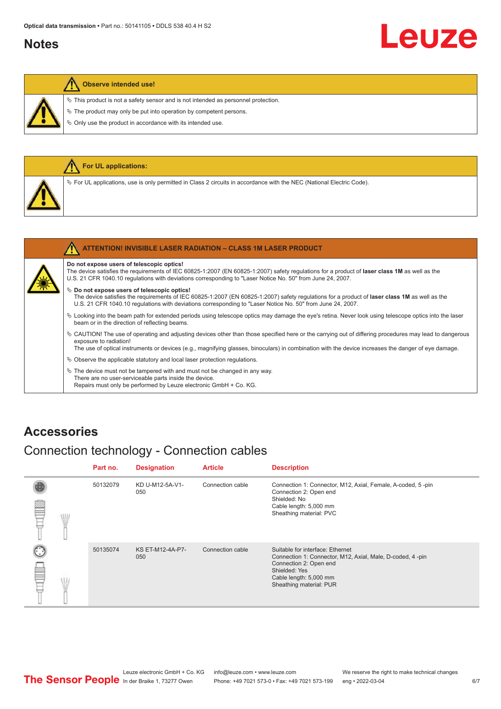#### <span id="page-5-0"></span>**Notes**

# Leuze

#### **Observe intended use!**

 $\ddot{\phi}$  This product is not a safety sensor and is not intended as personnel protection.

 $\&$  The product may only be put into operation by competent persons.

 $\%$  Only use the product in accordance with its intended use.

|  | For UL applications:                                                                                                              |
|--|-----------------------------------------------------------------------------------------------------------------------------------|
|  | Vertal Code). For UL applications, use is only permitted in Class 2 circuits in accordance with the NEC (National Electric Code). |
|  |                                                                                                                                   |
|  | <b>ATTENTION! INVISIBLE LASER RADIATION - CLASS 1M LASER PRODUCT</b>                                                              |

#### **Do not expose users of telescopic optics!**

The device satisfies the requirements of IEC 60825-1:2007 (EN 60825-1:2007) safety regulations for a product of **laser class 1M** as well as the U.S. 21 CFR 1040.10 regulations with deviations corresponding to "Laser Notice No. 50" from June 24, 2007.

#### $\%$  Do not expose users of telescopic optics!

The device satisfies the requirements of IEC 60825-1:2007 (EN 60825-1:2007) safety regulations for a product of **laser class 1M** as well as the U.S. 21 CFR 1040.10 regulations with deviations corresponding to "Laser Notice No. 50" from June 24, 2007.

- ª Looking into the beam path for extended periods using telescope optics may damage the eye's retina. Never look using telescope optics into the laser beam or in the direction of reflecting beams.
- ª CAUTION! The use of operating and adjusting devices other than those specified here or the carrying out of differing procedures may lead to dangerous exposure to radiation!

The use of optical instruments or devices (e.g., magnifying glasses, binoculars) in combination with the device increases the danger of eye damage.

 $\&$  Observe the applicable statutory and local laser protection regulations.

 $\%$  The device must not be tampered with and must not be changed in any way. There are no user-serviceable parts inside the device. Repairs must only be performed by Leuze electronic GmbH + Co. KG.

#### **Accessories**

### Connection technology - Connection cables

|           | Part no. | <b>Designation</b>             | <b>Article</b>   | <b>Description</b>                                                                                                                                                                            |
|-----------|----------|--------------------------------|------------------|-----------------------------------------------------------------------------------------------------------------------------------------------------------------------------------------------|
| ₽<br>\ll. | 50132079 | KD U-M12-5A-V1-<br>050         | Connection cable | Connection 1: Connector, M12, Axial, Female, A-coded, 5-pin<br>Connection 2: Open end<br>Shielded: No<br>Cable length: 5,000 mm<br>Sheathing material: PVC                                    |
| œ         | 50135074 | <b>KS ET-M12-4A-P7-</b><br>050 | Connection cable | Suitable for interface: Ethernet<br>Connection 1: Connector, M12, Axial, Male, D-coded, 4-pin<br>Connection 2: Open end<br>Shielded: Yes<br>Cable length: 5,000 mm<br>Sheathing material: PUR |